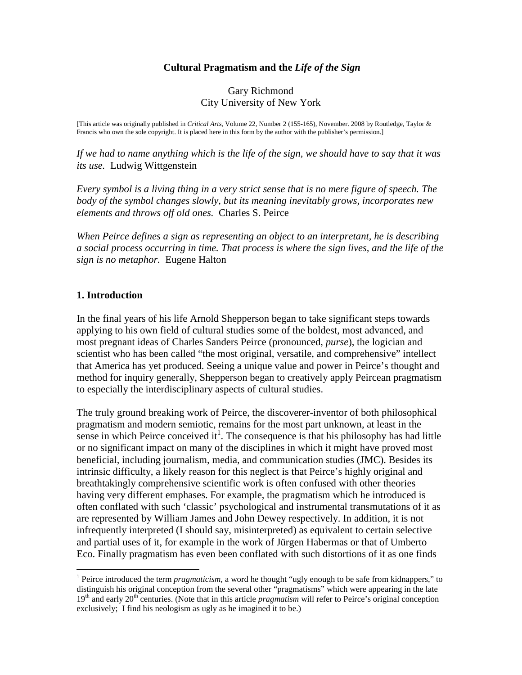## **Cultural Pragmatism and the** *Life of the Sign*

#### Gary Richmond City University of New York

[This article was originally published in *Critical Arts*, Volume 22, Number 2 (155-165), November. 2008 by Routledge, Taylor & Francis who own the sole copyright. It is placed here in this form by the author with the publisher's permission.]

*If we had to name anything which is the life of the sign, we should have to say that it was its use.* Ludwig Wittgenstein

*Every symbol is a living thing in a very strict sense that is no mere figure of speech. The body of the symbol changes slowly, but its meaning inevitably grows, incorporates new elements and throws off old ones.* Charles S. Peirce

*When Peirce defines a sign as representing an object to an interpretant, he is describing a social process occurring in time. That process is where the sign lives, and the life of the sign is no metaphor.* Eugene Halton

#### **1. Introduction**

<u>.</u>

In the final years of his life Arnold Shepperson began to take significant steps towards applying to his own field of cultural studies some of the boldest, most advanced, and most pregnant ideas of Charles Sanders Peirce (pronounced, *purse*), the logician and scientist who has been called "the most original, versatile, and comprehensive" intellect that America has yet produced. Seeing a unique value and power in Peirce's thought and method for inquiry generally, Shepperson began to creatively apply Peircean pragmatism to especially the interdisciplinary aspects of cultural studies.

The truly ground breaking work of Peirce, the discoverer-inventor of both philosophical pragmatism and modern semiotic, remains for the most part unknown, at least in the sense in which Peirce conceived  $it^1$ . The consequence is that his philosophy has had little or no significant impact on many of the disciplines in which it might have proved most beneficial, including journalism, media, and communication studies (JMC). Besides its intrinsic difficulty, a likely reason for this neglect is that Peirce's highly original and breathtakingly comprehensive scientific work is often confused with other theories having very different emphases. For example, the pragmatism which he introduced is often conflated with such 'classic' psychological and instrumental transmutations of it as are represented by William James and John Dewey respectively. In addition, it is not infrequently interpreted (I should say, misinterpreted) as equivalent to certain selective and partial uses of it, for example in the work of Jürgen Habermas or that of Umberto Eco. Finally pragmatism has even been conflated with such distortions of it as one finds

<sup>&</sup>lt;sup>1</sup> Peirce introduced the term *pragmaticism*, a word he thought "ugly enough to be safe from kidnappers," to distinguish his original conception from the several other "pragmatisms" which were appearing in the late 19<sup>th</sup> and early 20<sup>th</sup> centuries. (Note that in this article *pragmatism* will refer to Peirce's original conception exclusively; I find his neologism as ugly as he imagined it to be.)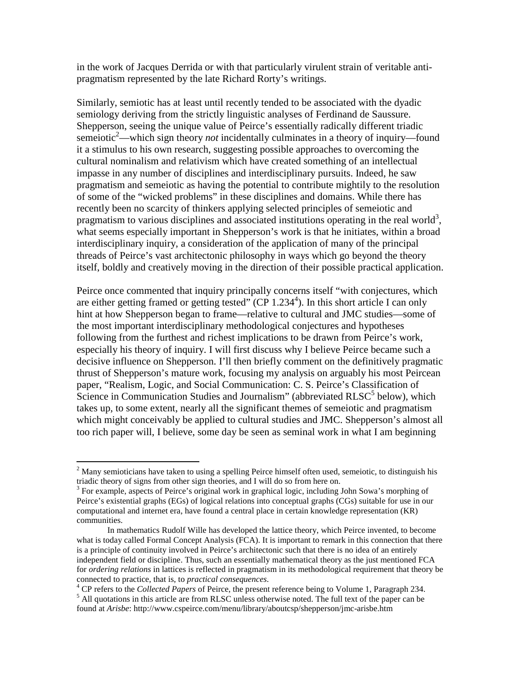in the work of Jacques Derrida or with that particularly virulent strain of veritable antipragmatism represented by the late Richard Rorty's writings.

Similarly, semiotic has at least until recently tended to be associated with the dyadic semiology deriving from the strictly linguistic analyses of Ferdinand de Saussure. Shepperson, seeing the unique value of Peirce's essentially radically different triadic semeiotic<sup>2</sup>—which sign theory *not* incidentally culminates in a theory of inquiry—found it a stimulus to his own research, suggesting possible approaches to overcoming the cultural nominalism and relativism which have created something of an intellectual impasse in any number of disciplines and interdisciplinary pursuits. Indeed, he saw pragmatism and semeiotic as having the potential to contribute mightily to the resolution of some of the "wicked problems" in these disciplines and domains. While there has recently been no scarcity of thinkers applying selected principles of semeiotic and pragmatism to various disciplines and associated institutions operating in the real world<sup>3</sup>, what seems especially important in Shepperson's work is that he initiates, within a broad interdisciplinary inquiry, a consideration of the application of many of the principal threads of Peirce's vast architectonic philosophy in ways which go beyond the theory itself, boldly and creatively moving in the direction of their possible practical application.

Peirce once commented that inquiry principally concerns itself "with conjectures, which are either getting framed or getting tested"  $(CP 1.234<sup>4</sup>)$ . In this short article I can only hint at how Shepperson began to frame—relative to cultural and JMC studies—some of the most important interdisciplinary methodological conjectures and hypotheses following from the furthest and richest implications to be drawn from Peirce's work, especially his theory of inquiry. I will first discuss why I believe Peirce became such a decisive influence on Shepperson. I'll then briefly comment on the definitively pragmatic thrust of Shepperson's mature work, focusing my analysis on arguably his most Peircean paper, "Realism, Logic, and Social Communication: C. S. Peirce's Classification of Science in Communication Studies and Journalism" (abbreviated  $RLSC<sup>5</sup>$  below), which takes up, to some extent, nearly all the significant themes of semeiotic and pragmatism which might conceivably be applied to cultural studies and JMC. Shepperson's almost all too rich paper will, I believe, some day be seen as seminal work in what I am beginning

<sup>&</sup>lt;sup>2</sup> Many semioticians have taken to using a spelling Peirce himself often used, semeiotic, to distinguish his triadic theory of signs from other sign theories, and I will do so from here on.

<sup>&</sup>lt;sup>3</sup> For example, aspects of Peirce's original work in graphical logic, including John Sowa's morphing of Peirce's existential graphs (EGs) of logical relations into conceptual graphs (CGs) suitable for use in our computational and internet era, have found a central place in certain knowledge representation (KR) communities.

In mathematics Rudolf Wille has developed the lattice theory, which Peirce invented, to become what is today called Formal Concept Analysis (FCA). It is important to remark in this connection that there is a principle of continuity involved in Peirce's architectonic such that there is no idea of an entirely independent field or discipline. Thus, such an essentially mathematical theory as the just mentioned FCA for *ordering relations* in lattices is reflected in pragmatism in its methodological requirement that theory be connected to practice, that is, to *practical consequences*.

<sup>4</sup> CP refers to the *Collected Papers* of Peirce, the present reference being to Volume 1, Paragraph 234.

<sup>&</sup>lt;sup>5</sup> All quotations in this article are from RLSC unless otherwise noted. The full text of the paper can be found at *Arisbe*: http://www.cspeirce.com/menu/library/aboutcsp/shepperson/jmc-arisbe.htm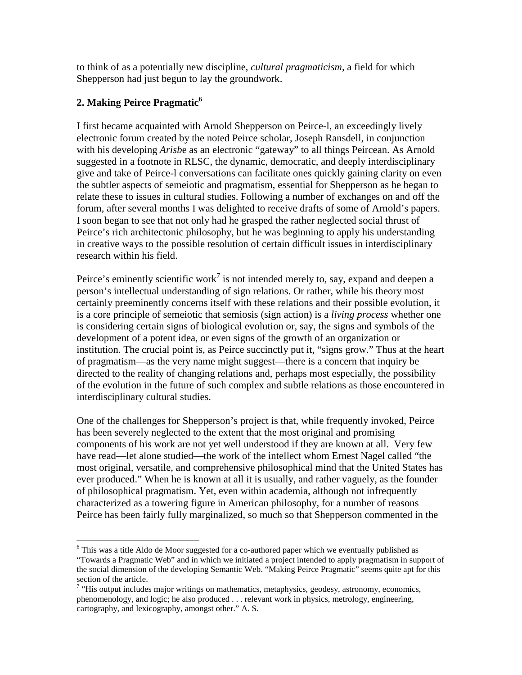to think of as a potentially new discipline, *cultural pragmaticism*, a field for which Shepperson had just begun to lay the groundwork.

# **2. Making Peirce Pragmatic<sup>6</sup>**

<u>.</u>

I first became acquainted with Arnold Shepperson on Peirce-l, an exceedingly lively electronic forum created by the noted Peirce scholar, Joseph Ransdell, in conjunction with his developing *Arisb*e as an electronic "gateway" to all things Peircean. As Arnold suggested in a footnote in RLSC, the dynamic, democratic, and deeply interdisciplinary give and take of Peirce-l conversations can facilitate ones quickly gaining clarity on even the subtler aspects of semeiotic and pragmatism, essential for Shepperson as he began to relate these to issues in cultural studies. Following a number of exchanges on and off the forum, after several months I was delighted to receive drafts of some of Arnold's papers. I soon began to see that not only had he grasped the rather neglected social thrust of Peirce's rich architectonic philosophy, but he was beginning to apply his understanding in creative ways to the possible resolution of certain difficult issues in interdisciplinary research within his field.

Peirce's eminently scientific work<sup>7</sup> is not intended merely to, say, expand and deepen a person's intellectual understanding of sign relations. Or rather, while his theory most certainly preeminently concerns itself with these relations and their possible evolution, it is a core principle of semeiotic that semiosis (sign action) is a *living process* whether one is considering certain signs of biological evolution or, say, the signs and symbols of the development of a potent idea, or even signs of the growth of an organization or institution. The crucial point is, as Peirce succinctly put it, "signs grow." Thus at the heart of pragmatism—as the very name might suggest—there is a concern that inquiry be directed to the reality of changing relations and, perhaps most especially, the possibility of the evolution in the future of such complex and subtle relations as those encountered in interdisciplinary cultural studies.

One of the challenges for Shepperson's project is that, while frequently invoked, Peirce has been severely neglected to the extent that the most original and promising components of his work are not yet well understood if they are known at all. Very few have read—let alone studied—the work of the intellect whom Ernest Nagel called "the most original, versatile, and comprehensive philosophical mind that the United States has ever produced." When he is known at all it is usually, and rather vaguely, as the founder of philosophical pragmatism. Yet, even within academia, although not infrequently characterized as a towering figure in American philosophy, for a number of reasons Peirce has been fairly fully marginalized, so much so that Shepperson commented in the

<sup>&</sup>lt;sup>6</sup> This was a title Aldo de Moor suggested for a co-authored paper which we eventually published as "Towards a Pragmatic Web" and in which we initiated a project intended to apply pragmatism in support of the social dimension of the developing Semantic Web. "Making Peirce Pragmatic" seems quite apt for this section of the article.

 $7$  "His output includes major writings on mathematics, metaphysics, geodesy, astronomy, economics, phenomenology, and logic; he also produced . . . relevant work in physics, metrology, engineering, cartography, and lexicography, amongst other." A. S.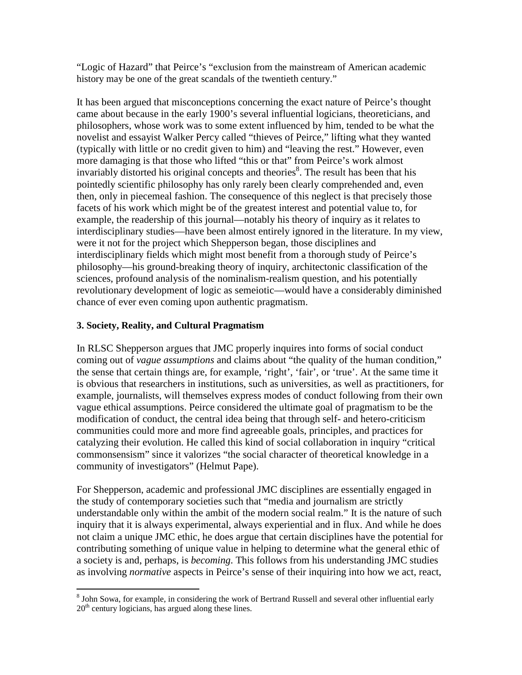"Logic of Hazard" that Peirce's "exclusion from the mainstream of American academic history may be one of the great scandals of the twentieth century."

It has been argued that misconceptions concerning the exact nature of Peirce's thought came about because in the early 1900's several influential logicians, theoreticians, and philosophers, whose work was to some extent influenced by him, tended to be what the novelist and essayist Walker Percy called "thieves of Peirce," lifting what they wanted (typically with little or no credit given to him) and "leaving the rest." However, even more damaging is that those who lifted "this or that" from Peirce's work almost invariably distorted his original concepts and theories<sup>8</sup>. The result has been that his pointedly scientific philosophy has only rarely been clearly comprehended and, even then, only in piecemeal fashion. The consequence of this neglect is that precisely those facets of his work which might be of the greatest interest and potential value to, for example, the readership of this journal—notably his theory of inquiry as it relates to interdisciplinary studies—have been almost entirely ignored in the literature. In my view, were it not for the project which Shepperson began, those disciplines and interdisciplinary fields which might most benefit from a thorough study of Peirce's philosophy—his ground-breaking theory of inquiry, architectonic classification of the sciences, profound analysis of the nominalism-realism question, and his potentially revolutionary development of logic as semeiotic—would have a considerably diminished chance of ever even coming upon authentic pragmatism.

# **3. Society, Reality, and Cultural Pragmatism**

In RLSC Shepperson argues that JMC properly inquires into forms of social conduct coming out of *vague assumptions* and claims about "the quality of the human condition," the sense that certain things are, for example, 'right', 'fair', or 'true'. At the same time it is obvious that researchers in institutions, such as universities, as well as practitioners, for example, journalists, will themselves express modes of conduct following from their own vague ethical assumptions. Peirce considered the ultimate goal of pragmatism to be the modification of conduct, the central idea being that through self- and hetero-criticism communities could more and more find agreeable goals, principles, and practices for catalyzing their evolution. He called this kind of social collaboration in inquiry "critical commonsensism" since it valorizes "the social character of theoretical knowledge in a community of investigators" (Helmut Pape).

For Shepperson, academic and professional JMC disciplines are essentially engaged in the study of contemporary societies such that "media and journalism are strictly understandable only within the ambit of the modern social realm." It is the nature of such inquiry that it is always experimental, always experiential and in flux. And while he does not claim a unique JMC ethic, he does argue that certain disciplines have the potential for contributing something of unique value in helping to determine what the general ethic of a society is and, perhaps, is *becoming*. This follows from his understanding JMC studies as involving *normative* aspects in Peirce's sense of their inquiring into how we act, react,

<sup>&</sup>lt;sup>8</sup> John Sowa, for example, in considering the work of Bertrand Russell and several other influential early  $20<sup>th</sup>$  century logicians, has argued along these lines.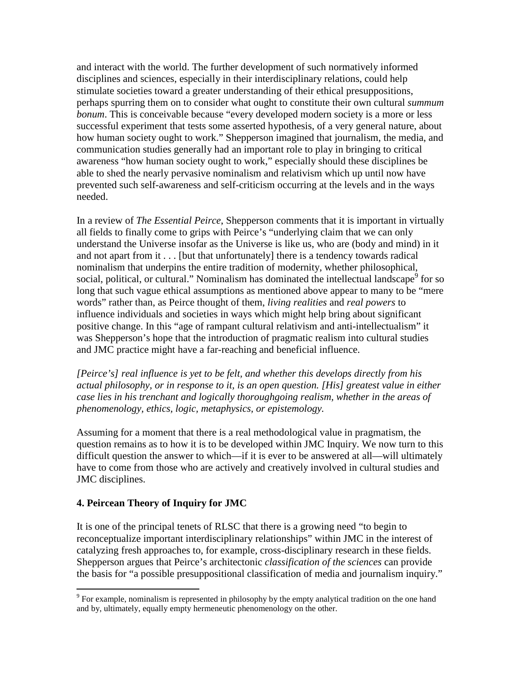and interact with the world. The further development of such normatively informed disciplines and sciences, especially in their interdisciplinary relations, could help stimulate societies toward a greater understanding of their ethical presuppositions, perhaps spurring them on to consider what ought to constitute their own cultural *summum bonum*. This is conceivable because "every developed modern society is a more or less successful experiment that tests some asserted hypothesis, of a very general nature, about how human society ought to work." Shepperson imagined that journalism, the media, and communication studies generally had an important role to play in bringing to critical awareness "how human society ought to work," especially should these disciplines be able to shed the nearly pervasive nominalism and relativism which up until now have prevented such self-awareness and self-criticism occurring at the levels and in the ways needed.

In a review of *The Essential Peirce*, Shepperson comments that it is important in virtually all fields to finally come to grips with Peirce's "underlying claim that we can only understand the Universe insofar as the Universe is like us, who are (body and mind) in it and not apart from it . . . [but that unfortunately] there is a tendency towards radical nominalism that underpins the entire tradition of modernity, whether philosophical, social, political, or cultural." Nominalism has dominated the intellectual landscape<sup>9</sup> for so long that such vague ethical assumptions as mentioned above appear to many to be "mere words" rather than, as Peirce thought of them, *living realities* and *real powers* to influence individuals and societies in ways which might help bring about significant positive change. In this "age of rampant cultural relativism and anti-intellectualism" it was Shepperson's hope that the introduction of pragmatic realism into cultural studies and JMC practice might have a far-reaching and beneficial influence.

*[Peirce's] real influence is yet to be felt, and whether this develops directly from his actual philosophy, or in response to it, is an open question. [His] greatest value in either case lies in his trenchant and logically thoroughgoing realism, whether in the areas of phenomenology, ethics, logic, metaphysics, or epistemology.* 

Assuming for a moment that there is a real methodological value in pragmatism, the question remains as to how it is to be developed within JMC Inquiry. We now turn to this difficult question the answer to which—if it is ever to be answered at all—will ultimately have to come from those who are actively and creatively involved in cultural studies and JMC disciplines.

# **4. Peircean Theory of Inquiry for JMC**

It is one of the principal tenets of RLSC that there is a growing need "to begin to reconceptualize important interdisciplinary relationships" within JMC in the interest of catalyzing fresh approaches to, for example, cross-disciplinary research in these fields. Shepperson argues that Peirce's architectonic *classification of the sciences* can provide the basis for "a possible presuppositional classification of media and journalism inquiry."

The sample is nominalism is represented in philosophy by the empty analytical tradition on the one hand and by, ultimately, equally empty hermeneutic phenomenology on the other.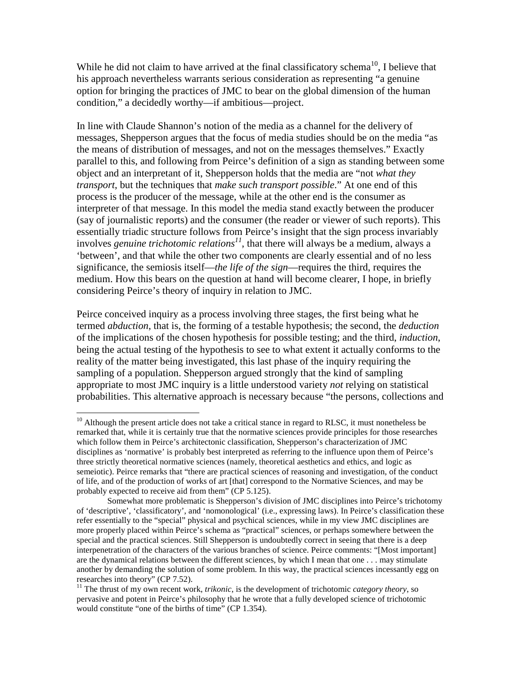While he did not claim to have arrived at the final classificatory schema<sup>10</sup>, I believe that his approach nevertheless warrants serious consideration as representing "a genuine option for bringing the practices of JMC to bear on the global dimension of the human condition," a decidedly worthy—if ambitious—project.

In line with Claude Shannon's notion of the media as a channel for the delivery of messages, Shepperson argues that the focus of media studies should be on the media "as the means of distribution of messages, and not on the messages themselves." Exactly parallel to this, and following from Peirce's definition of a sign as standing between some object and an interpretant of it, Shepperson holds that the media are "not *what they transport*, but the techniques that *make such transport possible*." At one end of this process is the producer of the message, while at the other end is the consumer as interpreter of that message. In this model the media stand exactly between the producer (say of journalistic reports) and the consumer (the reader or viewer of such reports). This essentially triadic structure follows from Peirce's insight that the sign process invariably involves *genuine trichotomic relations*<sup> $11$ </sup>, that there will always be a medium, always a 'between', and that while the other two components are clearly essential and of no less significance, the semiosis itself—*the life of the sign*—requires the third, requires the medium. How this bears on the question at hand will become clearer, I hope, in briefly considering Peirce's theory of inquiry in relation to JMC.

Peirce conceived inquiry as a process involving three stages, the first being what he termed *abduction*, that is, the forming of a testable hypothesis; the second, the *deduction* of the implications of the chosen hypothesis for possible testing; and the third, *induction*, being the actual testing of the hypothesis to see to what extent it actually conforms to the reality of the matter being investigated, this last phase of the inquiry requiring the sampling of a population. Shepperson argued strongly that the kind of sampling appropriate to most JMC inquiry is a little understood variety *not* relying on statistical probabilities. This alternative approach is necessary because "the persons, collections and

<u>.</u>

 $10$  Although the present article does not take a critical stance in regard to RLSC, it must nonetheless be remarked that, while it is certainly true that the normative sciences provide principles for those researches which follow them in Peirce's architectonic classification, Shepperson's characterization of JMC disciplines as 'normative' is probably best interpreted as referring to the influence upon them of Peirce's three strictly theoretical normative sciences (namely, theoretical aesthetics and ethics, and logic as semeiotic). Peirce remarks that "there are practical sciences of reasoning and investigation, of the conduct of life, and of the production of works of art [that] correspond to the Normative Sciences, and may be probably expected to receive aid from them" (CP 5.125).

Somewhat more problematic is Shepperson's division of JMC disciplines into Peirce's trichotomy of 'descriptive', 'classificatory', and 'nomonological' (i.e., expressing laws). In Peirce's classification these refer essentially to the "special" physical and psychical sciences, while in my view JMC disciplines are more properly placed within Peirce's schema as "practical" sciences, or perhaps somewhere between the special and the practical sciences. Still Shepperson is undoubtedly correct in seeing that there is a deep interpenetration of the characters of the various branches of science. Peirce comments: "[Most important] are the dynamical relations between the different sciences, by which I mean that one . . . may stimulate another by demanding the solution of some problem. In this way, the practical sciences incessantly egg on researches into theory" (CP 7.52).

<sup>11</sup> The thrust of my own recent work, *trikonic*, is the development of trichotomic *category theory*, so pervasive and potent in Peirce's philosophy that he wrote that a fully developed science of trichotomic would constitute "one of the births of time" (CP 1.354).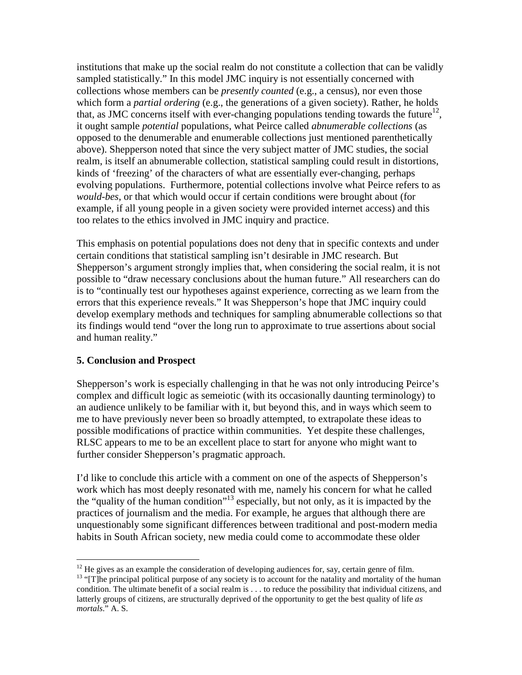institutions that make up the social realm do not constitute a collection that can be validly sampled statistically." In this model JMC inquiry is not essentially concerned with collections whose members can be *presently counted* (e.g., a census), nor even those which form a *partial ordering* (e.g., the generations of a given society). Rather, he holds that, as JMC concerns itself with ever-changing populations tending towards the future $^{12}$ , it ought sample *potential* populations, what Peirce called *abnumerable collections* (as opposed to the denumerable and enumerable collections just mentioned parenthetically above). Shepperson noted that since the very subject matter of JMC studies, the social realm, is itself an abnumerable collection, statistical sampling could result in distortions, kinds of 'freezing' of the characters of what are essentially ever-changing, perhaps evolving populations. Furthermore, potential collections involve what Peirce refers to as *would-bes*, or that which would occur if certain conditions were brought about (for example, if all young people in a given society were provided internet access) and this too relates to the ethics involved in JMC inquiry and practice.

This emphasis on potential populations does not deny that in specific contexts and under certain conditions that statistical sampling isn't desirable in JMC research. But Shepperson's argument strongly implies that, when considering the social realm, it is not possible to "draw necessary conclusions about the human future." All researchers can do is to "continually test our hypotheses against experience, correcting as we learn from the errors that this experience reveals." It was Shepperson's hope that JMC inquiry could develop exemplary methods and techniques for sampling abnumerable collections so that its findings would tend "over the long run to approximate to true assertions about social and human reality."

# **5. Conclusion and Prospect**

Shepperson's work is especially challenging in that he was not only introducing Peirce's complex and difficult logic as semeiotic (with its occasionally daunting terminology) to an audience unlikely to be familiar with it, but beyond this, and in ways which seem to me to have previously never been so broadly attempted, to extrapolate these ideas to possible modifications of practice within communities. Yet despite these challenges, RLSC appears to me to be an excellent place to start for anyone who might want to further consider Shepperson's pragmatic approach.

I'd like to conclude this article with a comment on one of the aspects of Shepperson's work which has most deeply resonated with me, namely his concern for what he called the "quality of the human condition"<sup>13</sup> especially, but not only, as it is impacted by the practices of journalism and the media. For example, he argues that although there are unquestionably some significant differences between traditional and post-modern media habits in South African society, new media could come to accommodate these older

 $\overline{a}$  $12$  He gives as an example the consideration of developing audiences for, say, certain genre of film.

<sup>&</sup>lt;sup>13</sup> "[T]he principal political purpose of any society is to account for the natality and mortality of the human condition. The ultimate benefit of a social realm is . . . to reduce the possibility that individual citizens, and latterly groups of citizens, are structurally deprived of the opportunity to get the best quality of life *as mortals*." A. S.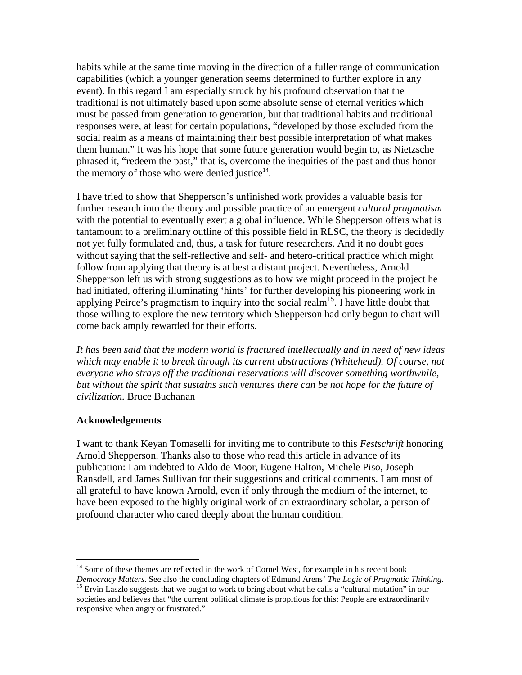habits while at the same time moving in the direction of a fuller range of communication capabilities (which a younger generation seems determined to further explore in any event). In this regard I am especially struck by his profound observation that the traditional is not ultimately based upon some absolute sense of eternal verities which must be passed from generation to generation, but that traditional habits and traditional responses were, at least for certain populations, "developed by those excluded from the social realm as a means of maintaining their best possible interpretation of what makes them human." It was his hope that some future generation would begin to, as Nietzsche phrased it, "redeem the past," that is, overcome the inequities of the past and thus honor the memory of those who were denied justice $14$ .

I have tried to show that Shepperson's unfinished work provides a valuable basis for further research into the theory and possible practice of an emergent *cultural pragmatism* with the potential to eventually exert a global influence. While Shepperson offers what is tantamount to a preliminary outline of this possible field in RLSC, the theory is decidedly not yet fully formulated and, thus, a task for future researchers. And it no doubt goes without saying that the self-reflective and self- and hetero-critical practice which might follow from applying that theory is at best a distant project. Nevertheless, Arnold Shepperson left us with strong suggestions as to how we might proceed in the project he had initiated, offering illuminating 'hints' for further developing his pioneering work in applying Peirce's pragmatism to inquiry into the social realm<sup>15</sup>. I have little doubt that those willing to explore the new territory which Shepperson had only begun to chart will come back amply rewarded for their efforts.

*It has been said that the modern world is fractured intellectually and in need of new ideas*  which may enable it to break through its current abstractions (Whitehead). Of course, not *everyone who strays off the traditional reservations will discover something worthwhile,*  but without the spirit that sustains such ventures there can be not hope for the future of *civilization.* Bruce Buchanan

## **Acknowledgements**

I want to thank Keyan Tomaselli for inviting me to contribute to this *Festschrift* honoring Arnold Shepperson. Thanks also to those who read this article in advance of its publication: I am indebted to Aldo de Moor, Eugene Halton, Michele Piso, Joseph Ransdell, and James Sullivan for their suggestions and critical comments. I am most of all grateful to have known Arnold, even if only through the medium of the internet, to have been exposed to the highly original work of an extraordinary scholar, a person of profound character who cared deeply about the human condition.

 $\overline{a}$  $14$  Some of these themes are reflected in the work of Cornel West, for example in his recent book

*Democracy Matters*. See also the concluding chapters of Edmund Arens' *The Logic of Pragmatic Thinking*. <sup>15</sup> Ervin Laszlo suggests that we ought to work to bring about what he calls a "cultural mutation" in our

societies and believes that "the current political climate is propitious for this: People are extraordinarily responsive when angry or frustrated."